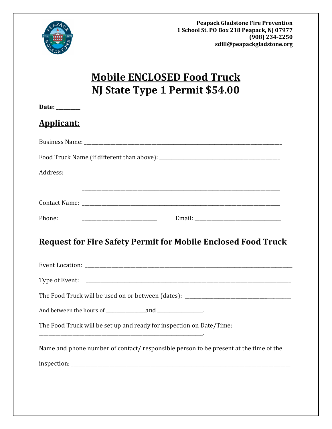

# **Mobile ENCLOSED Food Truck NJ State Type 1 Permit \$54.00**

| Date: $\_\_$ |                   |  |
|--------------|-------------------|--|
|              | <b>Applicant:</b> |  |

| Address:                                                                                |
|-----------------------------------------------------------------------------------------|
|                                                                                         |
| Phone:                                                                                  |
| <b>Request for Fire Safety Permit for Mobile Enclosed Food Truck</b>                    |
|                                                                                         |
|                                                                                         |
| The Food Truck will be used on or between (dates): ______________________________       |
|                                                                                         |
| The Food Truck will be set up and ready for inspection on Date/Time: __________________ |
| Name and phone number of contact/responsible person to be present at the time of the    |
|                                                                                         |
|                                                                                         |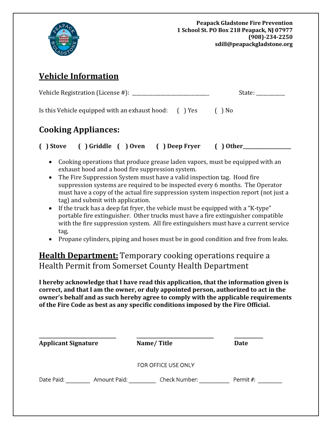

## **Vehicle Information**

| Vehicle Registration (License #): ________            | State: |        |
|-------------------------------------------------------|--------|--------|
| Is this Vehicle equipped with an exhaust hood: () Yes |        | ( ) No |
| <b>Cooking Appliances:</b>                            |        |        |

### **( ) Stove ( ) Griddle ( ) Oven ( ) Deep Fryer ( ) Other\_\_\_\_\_\_\_\_\_\_\_\_\_\_\_\_\_\_\_\_**

- Cooking operations that produce grease laden vapors, must be equipped with an exhaust hood and a hood fire suppression system.
- The Fire Suppression System must have a valid inspection tag. Hood fire suppression systems are required to be inspected every 6 months. The Operator must have a copy of the actual fire suppression system inspection report (not just a tag) and submit with application.
- If the truck has a deep fat fryer, the vehicle must be equipped with a "K-type" portable fire extinguisher. Other trucks must have a fire extinguisher compatible with the fire suppression system. All fire extinguishers must have a current service tag,
- Propane cylinders, piping and hoses must be in good condition and free from leaks.

### **Health Department:** Temporary cooking operations require a Health Permit from Somerset County Health Department

**I hereby acknowledge that I have read this application, that the information given is correct, and that I am the owner, or duly appointed person, authorized to act in the owner's behalf and as such hereby agree to comply with the applicable requirements of the Fire Code as best as any specific conditions imposed by the Fire Official.**

| <b>Applicant Signature</b> |              | Name/Title          | Date      |
|----------------------------|--------------|---------------------|-----------|
|                            |              | FOR OFFICE USE ONLY |           |
| Date Paid:                 | Amount Paid: | Check Number:       | Permit #: |